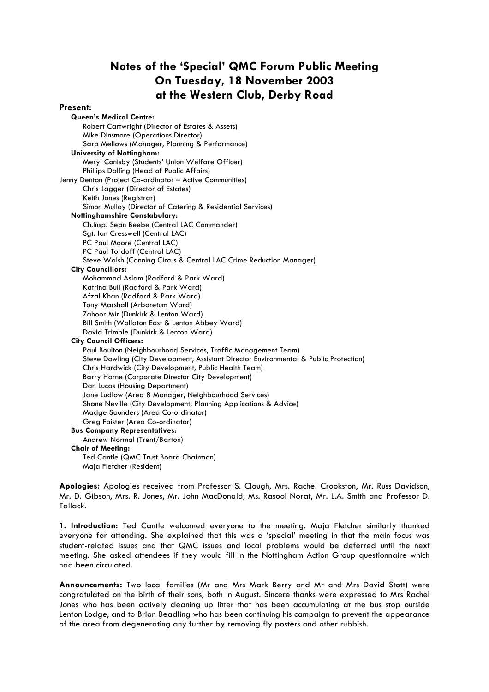# **Notes of the 'Special' QMC Forum Public Meeting On Tuesday, 18 November 2003 at the Western Club, Derby Road**

#### **Present:**

**Queen's Medical Centre:** Robert Cartwright (Director of Estates & Assets) Mike Dinsmore (Operations Director) Sara Mellows (Manager, Planning & Performance) **University of Nottingham:** Meryl Conisby (Students' Union Welfare Officer) Phillips Dalling (Head of Public Affairs) Jenny Denton (Project Co-ordinator – Active Communities) Chris Jagger (Director of Estates) Keith Jones (Registrar) Simon Mulloy (Director of Catering & Residential Services) **Nottinghamshire Constabulary:** Ch.Insp. Sean Beebe (Central LAC Commander) Sgt. Ian Cresswell (Central LAC) PC Paul Moore (Central LAC) PC Paul Tordoff (Central LAC) Steve Walsh (Canning Circus & Central LAC Crime Reduction Manager) **City Councillors:** Mohammad Aslam (Radford & Park Ward) Katrina Bull (Radford & Park Ward) Afzal Khan (Radford & Park Ward) Tony Marshall (Arboretum Ward) Zahoor Mir (Dunkirk & Lenton Ward) Bill Smith (Wollaton East & Lenton Abbey Ward) David Trimble (Dunkirk & Lenton Ward) **City Council Officers:** Paul Boulton (Neighbourhood Services, Traffic Management Team) Steve Dowling (City Development, Assistant Director Environmental & Public Protection) Chris Hardwick (City Development, Public Health Team) Barry Horne (Corporate Director City Development) Dan Lucas (Housing Department) Jane Ludlow (Area 8 Manager, Neighbourhood Services) Shane Neville (City Development, Planning Applications & Advice) Madge Saunders (Area Co-ordinator) Greg Foister (Area Co-ordinator) **Bus Company Representatives:** Andrew Normal (Trent/Barton) **Chair of Meeting:** Ted Cantle (QMC Trust Board Chairman) Maja Fletcher (Resident)

**Apologies:** Apologies received from Professor S. Clough, Mrs. Rachel Crookston, Mr. Russ Davidson, Mr. D. Gibson, Mrs. R. Jones, Mr. John MacDonald, Ms. Rasool Norat, Mr. L.A. Smith and Professor D. Tallack.

**1. Introduction:** Ted Cantle welcomed everyone to the meeting. Maja Fletcher similarly thanked everyone for attending. She explained that this was a 'special' meeting in that the main focus was student-related issues and that QMC issues and local problems would be deferred until the next meeting. She asked attendees if they would fill in the Nottingham Action Group questionnaire which had been circulated.

**Announcements:** Two local families (Mr and Mrs Mark Berry and Mr and Mrs David Stott) were congratulated on the birth of their sons, both in August. Sincere thanks were expressed to Mrs Rachel Jones who has been actively cleaning up litter that has been accumulating at the bus stop outside Lenton Lodge, and to Brian Beadling who has been continuing his campaign to prevent the appearance of the area from degenerating any further by removing fly posters and other rubbish.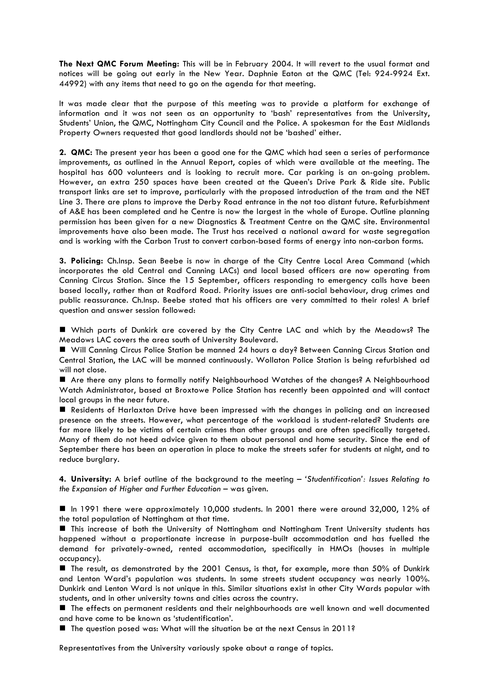**The Next QMC Forum Meeting:** This will be in February 2004. It will revert to the usual format and notices will be going out early in the New Year. Daphnie Eaton at the QMC (Tel: 924-9924 Ext. 44992) with any items that need to go on the agenda for that meeting.

It was made clear that the purpose of this meeting was to provide a platform for exchange of information and it was not seen as an opportunity to 'bash' representatives from the University, Students' Union, the QMC, Nottingham City Council and the Police. A spokesman for the East Midlands Property Owners requested that good landlords should not be 'bashed' either.

**2. QMC:** The present year has been a good one for the QMC which had seen a series of performance improvements, as outlined in the Annual Report, copies of which were available at the meeting. The hospital has 600 volunteers and is looking to recruit more. Car parking is an on-going problem. However, an extra 250 spaces have been created at the Queen's Drive Park & Ride site. Public transport links are set to improve, particularly with the proposed introduction of the tram and the NET Line 3. There are plans to improve the Derby Road entrance in the not too distant future. Refurbishment of A&E has been completed and he Centre is now the largest in the whole of Europe. Outline planning permission has been given for a new Diagnostics & Treatment Centre on the QMC site. Environmental improvements have also been made. The Trust has received a national award for waste segregation and is working with the Carbon Trust to convert carbon-based forms of energy into non-carbon forms.

**3. Policing:** Ch.Insp. Sean Beebe is now in charge of the City Centre Local Area Command (which incorporates the old Central and Canning LACs) and local based officers are now operating from Canning Circus Station. Since the 15 September, officers responding to emergency calls have been based locally, rather than at Radford Road. Priority issues are anti-social behaviour, drug crimes and public reassurance. Ch.Insp. Beebe stated that his officers are very committed to their roles! A brief question and answer session followed:

! Which parts of Dunkirk are covered by the City Centre LAC and which by the Meadows? The Meadows LAC covers the area south of University Boulevard.

■ Will Canning Circus Police Station be manned 24 hours a day? Between Canning Circus Station and Central Station, the LAC will be manned continuously. Wollaton Police Station is being refurbished ad will not close.

! Are there any plans to formally notify Neighbourhood Watches of the changes? A Neighbourhood Watch Administrator, based at Broxtowe Police Station has recently been appointed and will contact local groups in the near future.

! Residents of Harlaxton Drive have been impressed with the changes in policing and an increased presence on the streets. However, what percentage of the workload is student-related? Students are far more likely to be victims of certain crimes than other groups and are often specifically targeted. Many of them do not heed advice given to them about personal and home security. Since the end of September there has been an operation in place to make the streets safer for students at night, and to reduce burglary.

**4. University:** A brief outline of the background to the meeting – *'Studentification': Issues Relating to the Expansion of Higher and Further Education* – was given.

! In 1991 there were approximately 10,000 students. In 2001 there were around 32,000, 12% of the total population of Nottingham at that time.

! This increase of both the University of Nottingham and Nottingham Trent University students has happened without a proportionate increase in purpose-built accommodation and has fuelled the demand for privately-owned, rented accommodation, specifically in HMOs (houses in multiple occupancy).

! The result, as demonstrated by the 2001 Census, is that, for example, more than 50% of Dunkirk and Lenton Ward's population was students. In some streets student occupancy was nearly 100%. Dunkirk and Lenton Ward is not unique in this. Similar situations exist in other City Wards popular with students, and in other university towns and cities across the country.

! The effects on permanent residents and their neighbourhoods are well known and well documented and have come to be known as 'studentification'.

! The question posed was: What will the situation be at the next Census in 2011?

Representatives from the University variously spoke about a range of topics.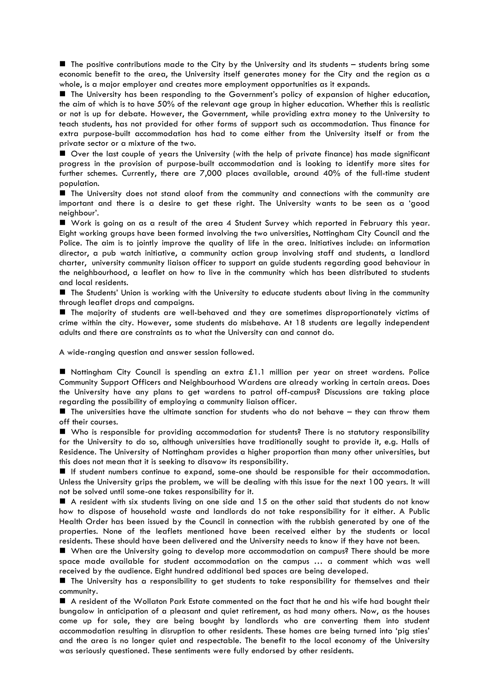! The positive contributions made to the City by the University and its students – students bring some economic benefit to the area, the University itself generates money for the City and the region as a whole, is a major employer and creates more employment opportunities as it expands.

! The University has been responding to the Government's policy of expansion of higher education, the aim of which is to have 50% of the relevant age group in higher education. Whether this is realistic or not is up for debate. However, the Government, while providing extra money to the University to teach students, has not provided for other forms of support such as accommodation. Thus finance for extra purpose-built accommodation has had to come either from the University itself or from the private sector or a mixture of the two.

! Over the last couple of years the University (with the help of private finance) has made significant progress in the provision of purpose-built accommodation and is looking to identify more sites for further schemes. Currently, there are 7,000 places available, around 40% of the full-time student population.

! The University does not stand aloof from the community and connections with the community are important and there is a desire to get these right. The University wants to be seen as a 'good neighbour'.

! Work is going on as a result of the area 4 Student Survey which reported in February this year. Eight working groups have been formed involving the two universities, Nottingham City Council and the Police. The aim is to jointly improve the quality of life in the area. Initiatives include: an information director, a pub watch initiative, a community action group involving staff and students, a landlord charter, university community liaison officer to support an guide students regarding good behaviour in the neighbourhood, a leaflet on how to live in the community which has been distributed to students and local residents.

! The Students' Union is working with the University to educate students about living in the community through leaflet drops and campaigns.

! The majority of students are well-behaved and they are sometimes disproportionately victims of crime within the city. However, some students do misbehave. At 18 students are legally independent adults and there are constraints as to what the University can and cannot do.

A wide-ranging question and answer session followed.

■ Nottingham City Council is spending an extra £1.1 million per year on street wardens. Police Community Support Officers and Neighbourhood Wardens are already working in certain areas. Does the University have any plans to get wardens to patrol off-campus? Discussions are taking place regarding the possibility of employing a community liaison officer.

 $\blacksquare$  The universities have the ultimate sanction for students who do not behave  $-$  they can throw them off their courses.

! Who is responsible for providing accommodation for students? There is no statutory responsibility for the University to do so, although universities have traditionally sought to provide it, e.g. Halls of Residence. The University of Nottingham provides a higher proportion than many other universities, but this does not mean that it is seeking to disavow its responsibility.

! If student numbers continue to expand, some-one should be responsible for their accommodation. Unless the University grips the problem, we will be dealing with this issue for the next 100 years. It will not be solved until some-one takes responsibility for it.

 $\blacksquare$  A resident with six students living on one side and 15 on the other said that students do not know how to dispose of household waste and landlords do not take responsibility for it either. A Public Health Order has been issued by the Council in connection with the rubbish generated by one of the properties. None of the leaflets mentioned have been received either by the students or local residents. These should have been delivered and the University needs to know if they have not been.

! When are the University going to develop more accommodation on campus? There should be more space made available for student accommodation on the campus … a comment which was well received by the audience. Eight hundred additional bed spaces are being developed.

! The University has a responsibility to get students to take responsibility for themselves and their community.

! A resident of the Wollaton Park Estate commented on the fact that he and his wife had bought their bungalow in anticipation of a pleasant and quiet retirement, as had many others. Now, as the houses come up for sale, they are being bought by landlords who are converting them into student accommodation resulting in disruption to other residents. These homes are being turned into 'pig sties' and the area is no longer quiet and respectable. The benefit to the local economy of the University was seriously questioned. These sentiments were fully endorsed by other residents.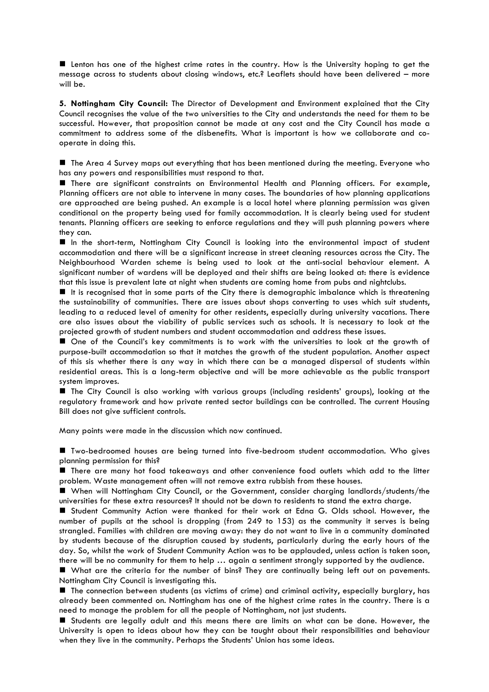! Lenton has one of the highest crime rates in the country. How is the University hoping to get the message across to students about closing windows, etc.? Leaflets should have been delivered – more will be.

**5. Nottingham City Council:** The Director of Development and Environment explained that the City Council recognises the value of the two universities to the City and understands the need for them to be successful. However, that proposition cannot be made at any cost and the City Council has made a commitment to address some of the disbenefits. What is important is how we collaborate and cooperate in doing this.

! The Area 4 Survey maps out everything that has been mentioned during the meeting. Everyone who has any powers and responsibilities must respond to that.

! There are significant constraints on Environmental Health and Planning officers. For example, Planning officers are not able to intervene in many cases. The boundaries of how planning applications are approached are being pushed. An example is a local hotel where planning permission was given conditional on the property being used for family accommodation. It is clearly being used for student tenants. Planning officers are seeking to enforce regulations and they will push planning powers where they can.

! In the short-term, Nottingham City Council is looking into the environmental impact of student accommodation and there will be a significant increase in street cleaning resources across the City. The Neighbourhood Warden scheme is being used to look at the anti-social behaviour element. A significant number of wardens will be deployed and their shifts are being looked at: there is evidence that this issue is prevalent late at night when students are coming home from pubs and nightclubs.

It is recognised that in some parts of the City there is demographic imbalance which is threatening the sustainability of communities. There are issues about shops converting to uses which suit students, leading to a reduced level of amenity for other residents, especially during university vacations. There are also issues about the viability of public services such as schools. It is necessary to look at the projected growth of student numbers and student accommodation and address these issues.

! One of the Council's key commitments is to work with the universities to look at the growth of purpose-built accommodation so that it matches the growth of the student population. Another aspect of this sis whether there is any way in which there can be a managed dispersal of students within residential areas. This is a long-term objective and will be more achievable as the public transport system improves.

! The City Council is also working with various groups (including residents' groups), looking at the regulatory framework and how private rented sector buildings can be controlled. The current Housing Bill does not give sufficient controls.

Many points were made in the discussion which now continued.

! Two-bedroomed houses are being turned into five-bedroom student accommodation. Who gives planning permission for this?

! There are many hot food takeaways and other convenience food outlets which add to the litter problem. Waste management often will not remove extra rubbish from these houses.

! When will Nottingham City Council, or the Government, consider charging landlords/students/the universities for these extra resources? It should not be down to residents to stand the extra charge.

! Student Community Action were thanked for their work at Edna G. Olds school. However, the number of pupils at the school is dropping (from 249 to 153) as the community it serves is being strangled. Families with children are moving away: they do not want to live in a community dominated by students because of the disruption caused by students, particularly during the early hours of the day. So, whilst the work of Student Community Action was to be applauded, unless action is taken soon, there will be no community for them to help … again a sentiment strongly supported by the audience.

! What are the criteria for the number of bins? They are continually being left out on pavements. Nottingham City Council is investigating this.

! The connection between students (as victims of crime) and criminal activity, especially burglary, has already been commented on. Nottingham has one of the highest crime rates in the country. There is a need to manage the problem for all the people of Nottingham, not just students.

! Students are legally adult and this means there are limits on what can be done. However, the University is open to ideas about how they can be taught about their responsibilities and behaviour when they live in the community. Perhaps the Students' Union has some ideas.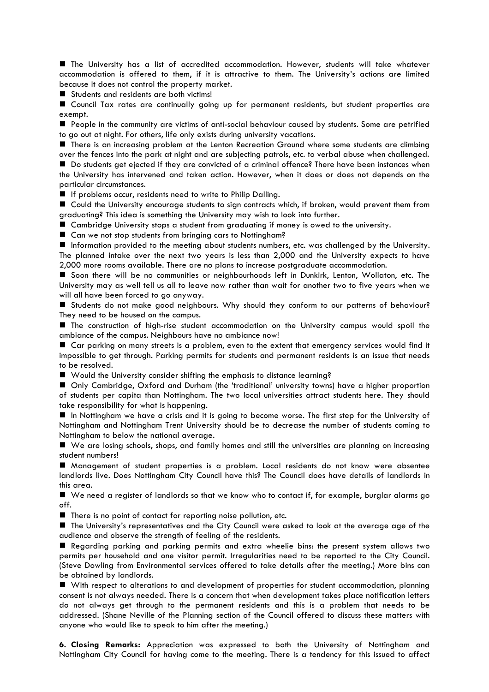! The University has a list of accredited accommodation. However, students will take whatever accommodation is offered to them, if it is attractive to them. The University's actions are limited because it does not control the property market.

■ Students and residents are both victims!

! Council Tax rates are continually going up for permanent residents, but student properties are exempt.

! People in the community are victims of anti-social behaviour caused by students. Some are petrified to go out at night. For others, life only exists during university vacations.

! There is an increasing problem at the Lenton Recreation Ground where some students are climbing over the fences into the park at night and are subjecting patrols, etc. to verbal abuse when challenged. ! Do students get ejected if they are convicted of a criminal offence? There have been instances when

the University has intervened and taken action. However, when it does or does not depends on the particular circumstances.

**If problems occur, residents need to write to Philip Dalling.** 

! Could the University encourage students to sign contracts which, if broken, would prevent them from graduating? This idea is something the University may wish to look into further.

! Cambridge University stops a student from graduating if money is owed to the university.

■ Can we not stop students from bringing cars to Nottingham?

! Information provided to the meeting about students numbers, etc. was challenged by the University. The planned intake over the next two years is less than 2,000 and the University expects to have 2,000 more rooms available. There are no plans to increase postgraduate accommodation.

! Soon there will be no communities or neighbourhoods left in Dunkirk, Lenton, Wollaton, etc. The University may as well tell us all to leave now rather than wait for another two to five years when we will all have been forced to go anyway.

! Students do not make good neighbours. Why should they conform to our patterns of behaviour? They need to be housed on the campus.

! The construction of high-rise student accommodation on the University campus would spoil the ambiance of the campus. Neighbours have no ambiance now!

! Car parking on many streets is a problem, even to the extent that emergency services would find it impossible to get through. Parking permits for students and permanent residents is an issue that needs to be resolved.

■ Would the University consider shifting the emphasis to distance learning?

! Only Cambridge, Oxford and Durham (the 'traditional' university towns) have a higher proportion of students per capita than Nottingham. The two local universities attract students here. They should take responsibility for what is happening.

! In Nottingham we have a crisis and it is going to become worse. The first step for the University of Nottingham and Nottingham Trent University should be to decrease the number of students coming to Nottingham to below the national average.

! We are losing schools, shops, and family homes and still the universities are planning on increasing student numbers!

! Management of student properties is a problem. Local residents do not know were absentee landlords live. Does Nottingham City Council have this? The Council does have details of landlords in this area.

! We need a register of landlords so that we know who to contact if, for example, burglar alarms go off.

! There is no point of contact for reporting noise pollution, etc.

! The University's representatives and the City Council were asked to look at the average age of the audience and observe the strength of feeling of the residents.

! Regarding parking and parking permits and extra wheelie bins: the present system allows two permits per household and one visitor permit. Irregularities need to be reported to the City Council. (Steve Dowling from Environmental services offered to take details after the meeting.) More bins can be obtained by landlords.

! With respect to alterations to and development of properties for student accommodation, planning consent is not always needed. There is a concern that when development takes place notification letters do not always get through to the permanent residents and this is a problem that needs to be addressed. (Shane Neville of the Planning section of the Council offered to discuss these matters with anyone who would like to speak to him after the meeting.)

**6. Closing Remarks:** Appreciation was expressed to both the University of Nottingham and Nottingham City Council for having come to the meeting. There is a tendency for this issued to affect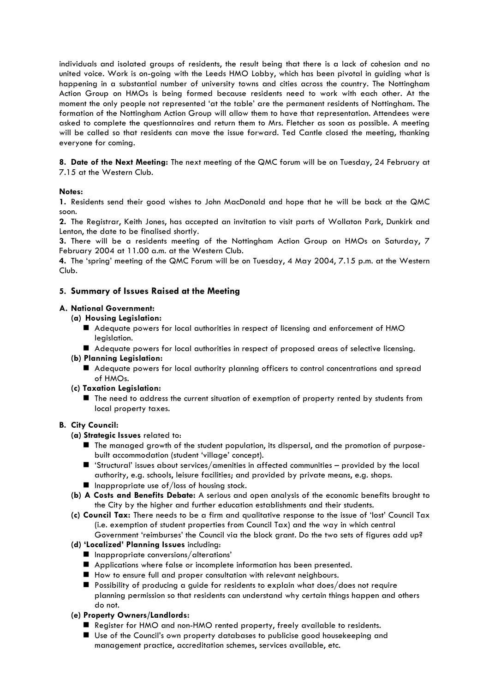individuals and isolated groups of residents, the result being that there is a lack of cohesion and no united voice. Work is on-going with the Leeds HMO Lobby, which has been pivotal in guiding what is happening in a substantial number of university towns and cities across the country. The Nottingham Action Group on HMOs is being formed because residents need to work with each other. At the moment the only people not represented 'at the table' are the permanent residents of Nottingham. The formation of the Nottingham Action Group will allow them to have that representation. Attendees were asked to complete the questionnaires and return them to Mrs. Fletcher as soon as possible. A meeting will be called so that residents can move the issue forward. Ted Cantle closed the meeting, thanking everyone for coming.

**8. Date of the Next Meeting:** The next meeting of the QMC forum will be on Tuesday, 24 February at 7.15 at the Western Club.

# **Notes:**

**1.** Residents send their good wishes to John MacDonald and hope that he will be back at the QMC soon.

**2.** The Registrar, Keith Jones, has accepted an invitation to visit parts of Wollaton Park, Dunkirk and Lenton, the date to be finalised shortly.

**3.** There will be a residents meeting of the Nottingham Action Group on HMOs on Saturday, 7 February 2004 at 11.00 a.m. at the Western Club.

**4.** The 'spring' meeting of the QMC Forum will be on Tuesday, 4 May 2004, 7.15 p.m. at the Western Club.

# **5. Summary of Issues Raised at the Meeting**

### **A. National Government:**

### **(a) Housing Legislation:**

- ! Adequate powers for local authorities in respect of licensing and enforcement of HMO legislation.
- ! Adequate powers for local authorities in respect of proposed areas of selective licensing.
- **(b) Planning Legislation:**
	- ! Adequate powers for local authority planning officers to control concentrations and spread of HMOs.
- **(c) Taxation Legislation:**
	- ! The need to address the current situation of exemption of property rented by students from local property taxes.

### **B. City Council:**

- **(a) Strategic Issues** related to:
	- ! The managed growth of the student population, its dispersal, and the promotion of purposebuilt accommodation (student 'village' concept).
	- $\blacksquare$  'Structural' issues about services/amenities in affected communities provided by the local authority, e.g. schools, leisure facilities; and provided by private means, e.g. shops.
	- $\blacksquare$  Inappropriate use of/loss of housing stock.
- **(b) A Costs and Benefits Debate:** A serious and open analysis of the economic benefits brought to the City by the higher and further education establishments and their students.
- **(c) Council Tax:** There needs to be a firm and qualitative response to the issue of 'lost' Council Tax (i.e. exemption of student properties from Council Tax) and the way in which central Government 'reimburses' the Council via the block grant. Do the two sets of figures add up?
- **(d) 'Localized' Planning Issues** including:
	- $\blacksquare$  Inappropriate conversions/alterations'
	- ! Applications where false or incomplete information has been presented.
	- ! How to ensure full and proper consultation with relevant neighbours.
	- ! Possibility of producing a guide for residents to explain what does/does not require planning permission so that residents can understand why certain things happen and others do not.

### **(e) Property Owners/Landlords:**

- Register for HMO and non-HMO rented property, freely available to residents.
- ! Use of the Council's own property databases to publicise good housekeeping and management practice, accreditation schemes, services available, etc.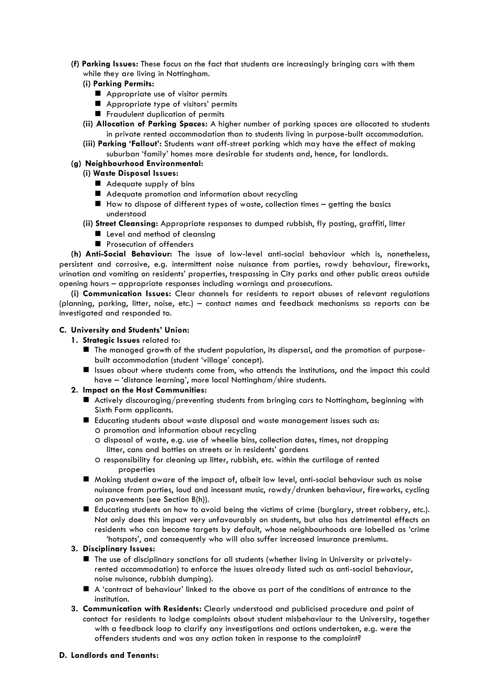**(f) Parking Issues:** These focus on the fact that students are increasingly bringing cars with them while they are living in Nottingham.

# **(i) Parking Permits:**

- **Appropriate use of visitor permits**
- **E** Appropriate type of visitors' permits
- **E** Fraudulent duplication of permits
- **(ii) Allocation of Parking Spaces:** A higher number of parking spaces are allocated to students in private rented accommodation than to students living in purpose-built accommodation.
- **(iii) Parking 'Fallout':** Students want off-street parking which may have the effect of making suburban 'family' homes more desirable for students and, hence, for landlords.

## **(g) Neighbourhood Environmental:**

# **(i) Waste Disposal Issues:**

- Adequate supply of bins
- ! Adequate promotion and information about recycling
- $\blacksquare$  How to dispose of different types of waste, collection times  $-$  getting the basics understood
- **(ii) Street Cleansing:** Appropriate responses to dumped rubbish, fly posting, graffiti, litter
	- **E** Level and method of cleansing
	- **Pedia** Prosecution of offenders

**(h) Anti-Social Behaviour:** The issue of low-level anti-social behaviour which is, nonetheless, persistent and corrosive, e.g. intermittent noise nuisance from parties, rowdy behaviour, fireworks, urination and vomiting on residents' properties, trespassing in City parks and other public areas outside opening hours – appropriate responses including warnings and prosecutions.

**(i) Communication Issues:** Clear channels for residents to report abuses of relevant regulations (planning, parking, litter, noise, etc.) – contact names and feedback mechanisms so reports can be investigated and responded to.

# **C. University and Students' Union:**

- **1. Strategic Issues** related to:
	- ! The managed growth of the student population, its dispersal, and the promotion of purposebuilt accommodation (student 'village' concept).
	- ! Issues about where students come from, who attends the institutions, and the impact this could have – 'distance learning', more local Nottingham/shire students.

### **2. Impact on the Host Communities:**

- ! Actively discouraging/preventing students from bringing cars to Nottingham, beginning with Sixth Form applicants.
- **E** Educating students about waste disposal and waste management issues such as: O promotion and information about recycling
	- O disposal of waste, e.g. use of wheelie bins, collection dates, times, not dropping litter, cans and bottles on streets or in residents' gardens
	- O responsibility for cleaning up litter, rubbish, etc. within the curtilage of rented properties
- ! Making student aware of the impact of, albeit low level, anti-social behaviour such as noise nuisance from parties, loud and incessant music, rowdy/drunken behaviour, fireworks, cycling on pavements (see Section B(h)).
- ! Educating students on how to avoid being the victims of crime (burglary, street robbery, etc.). Not only does this impact very unfavourably on students, but also has detrimental effects on residents who can become targets by default, whose neighbourhoods are labelled as 'crime 'hotspots', and consequently who will also suffer increased insurance premiums.

### **3. Disciplinary Issues:**

- ! The use of disciplinary sanctions for all students (whether living in University or privatelyrented accommodation) to enforce the issues already listed such as anti-social behaviour, noise nuisance, rubbish dumping).
- ! A 'contract of behaviour' linked to the above as part of the conditions of entrance to the institution.
- **3. Communication with Residents:** Clearly understood and publicised procedure and point of contact for residents to lodge complaints about student misbehaviour to the University, together with a feedback loop to clarify any investigations and actions undertaken, e.g. were the offenders students and was any action taken in response to the complaint?